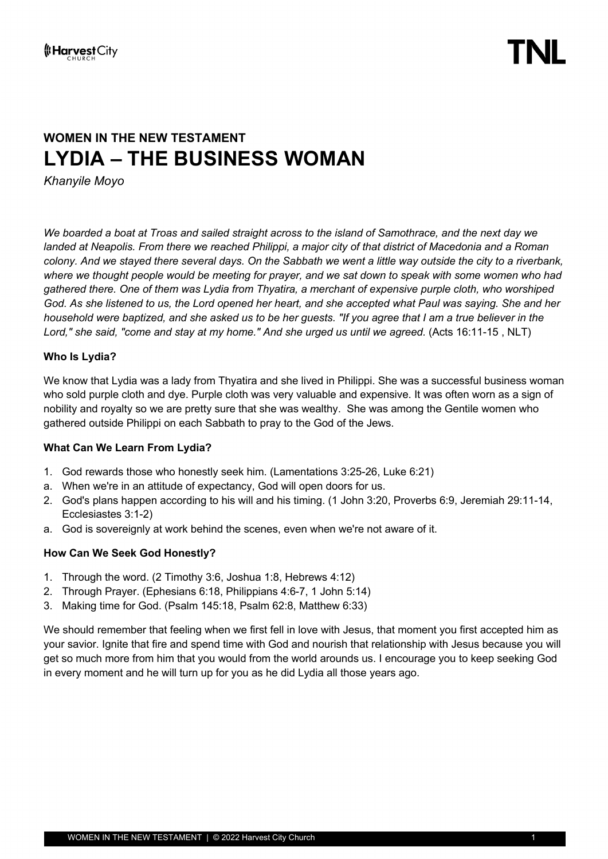## **WOMEN IN THE NEW TESTAMENT LYDIA – THE BUSINESS WOMAN**

*Khanyile Moyo*

*We boarded a boat at Troas and sailed straight across to the island of Samothrace, and the next day we landed at Neapolis. From there we reached Philippi, a major city of that district of Macedonia and a Roman colony. And we stayed there several days. On the Sabbath we went a little way outside the city to a riverbank, where we thought people would be meeting for prayer, and we sat down to speak with some women who had gathered there. One of them was Lydia from Thyatira, a merchant of expensive purple cloth, who worshiped God. As she listened to us, the Lord opened her heart, and she accepted what Paul was saying. She and her household were baptized, and she asked us to be her guests. "If you agree that I am a true believer in the Lord," she said, "come and stay at my home." And she urged us until we agreed.* (Acts 16:11-15 , NLT)

#### **Who Is Lydia?**

We know that Lydia was a lady from Thyatira and she lived in Philippi. She was a successful business woman who sold purple cloth and dye. Purple cloth was very valuable and expensive. It was often worn as a sign of nobility and royalty so we are pretty sure that she was wealthy. She was among the Gentile women who gathered outside Philippi on each Sabbath to pray to the God of the Jews.

#### **What Can We Learn From Lydia?**

- 1. God rewards those who honestly seek him. (Lamentations 3:25-26, Luke 6:21)
- a. When we're in an attitude of expectancy, God will open doors for us.
- 2. God's plans happen according to his will and his timing. (1 John 3:20, Proverbs 6:9, Jeremiah 29:11-14, Ecclesiastes 3:1-2)
- a. God is sovereignly at work behind the scenes, even when we're not aware of it.

#### **How Can We Seek God Honestly?**

- 1. Through the word. (2 Timothy 3:6, Joshua 1:8, Hebrews 4:12)
- 2. Through Prayer. (Ephesians 6:18, Philippians 4:6-7, 1 John 5:14)
- 3. Making time for God. (Psalm 145:18, Psalm 62:8, Matthew 6:33)

We should remember that feeling when we first fell in love with Jesus, that moment you first accepted him as your savior. Ignite that fire and spend time with God and nourish that relationship with Jesus because you will get so much more from him that you would from the world arounds us. I encourage you to keep seeking God in every moment and he will turn up for you as he did Lydia all those years ago.